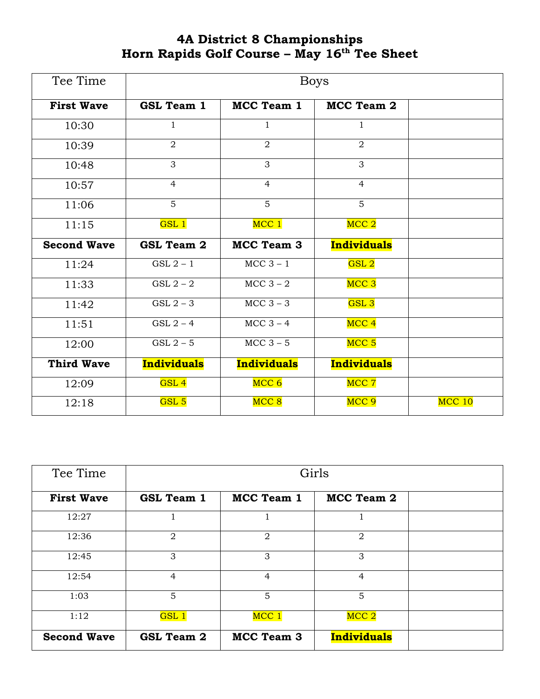## **4A District 8 Championships Horn Rapids Golf Course – May 16 th Tee Sheet**

| Tee Time           | <b>Boys</b>        |                    |                    |          |  |
|--------------------|--------------------|--------------------|--------------------|----------|--|
| <b>First Wave</b>  | <b>GSL Team 1</b>  | <b>MCC Team 1</b>  | MCC Team 2         |          |  |
| 10:30              | $\mathbf{1}$       | $\mathbf{1}$       | $\mathbf{1}$       |          |  |
| 10:39              | $\overline{2}$     | $\overline{2}$     | $\overline{2}$     |          |  |
| 10:48              | 3                  | 3                  | $\overline{3}$     |          |  |
| 10:57              | $\overline{4}$     | $\overline{4}$     | $\overline{4}$     |          |  |
| 11:06              | $\overline{5}$     | 5                  | 5                  |          |  |
| 11:15              | GSL <sub>1</sub>   | MCC 1              | MCC <sub>2</sub>   |          |  |
| <b>Second Wave</b> | <b>GSL Team 2</b>  | <b>MCC Team 3</b>  | <b>Individuals</b> |          |  |
| 11:24              | $GSL2 - 1$         | $MCC$ 3 - 1        | ${\rm GSL}$ $2$    |          |  |
| 11:33              | $GSL 2 - 2$        | MCC $3-2$          | MCC <sub>3</sub>   |          |  |
| 11:42              | $GSL2 - 3$         | $MCC$ 3 – 3        | GSL <sub>3</sub>   |          |  |
| 11:51              | $GSL2 - 4$         | $MCC$ 3 – 4        | MCC <sub>4</sub>   |          |  |
| 12:00              | $GSL2 - 5$         | $MCC$ 3 – 5        | MCC <sub>5</sub>   |          |  |
| <b>Third Wave</b>  | <b>Individuals</b> | <b>Individuals</b> | <b>Individuals</b> |          |  |
| 12:09              | GSL <sub>4</sub>   | MCC <sub>6</sub>   | MCC 7              |          |  |
| 12:18              | GSL <sub>5</sub>   | MCC <sub>8</sub>   | MCC <sub>9</sub>   | $MCC$ 10 |  |

| Tee Time           | Girls             |                |                    |  |  |
|--------------------|-------------------|----------------|--------------------|--|--|
| <b>First Wave</b>  | <b>GSL Team 1</b> | MCC Team 1     | MCC Team 2         |  |  |
| 12:27              |                   |                |                    |  |  |
| 12:36              | $\overline{2}$    | $\overline{2}$ | $\overline{2}$     |  |  |
| 12:45              | 3                 | 3              | 3                  |  |  |
| 12:54              | $\overline{4}$    | $\overline{4}$ | $\overline{4}$     |  |  |
| 1:03               | 5                 | 5              | 5                  |  |  |
| 1:12               | GSL <sub>1</sub>  | MCC 1          | MCC <sub>2</sub>   |  |  |
| <b>Second Wave</b> | <b>GSL Team 2</b> | MCC Team 3     | <b>Individuals</b> |  |  |